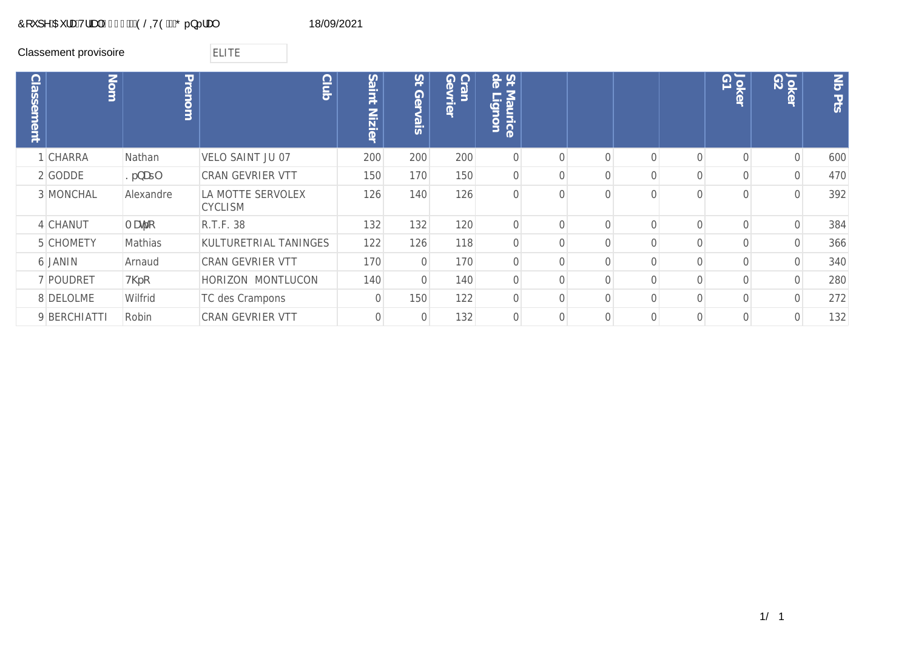## &RXSH\$XUD7ULDO(/,7(\*pQpUDO 18/09/2021

Classement provisoire **ELITE** 

| <b>Classement</b> | Nom              | Prenom           | <b>Club</b>                         | Saint<br>Nizier | 15<br>Ger<br>Vais | $\bigcirc$<br><b>Ge</b><br>ran<br>$\leq$<br>$\overline{\overline{O}}$ | St e<br>Maurice<br>$\overline{\phantom{a}}$<br><b>Guo</b><br>È |           |          |          | Jokel<br>G1 | <b>Jok</b><br>$\circ$ | $ \vec{S} $<br>$\frac{1}{2}$ |
|-------------------|------------------|------------------|-------------------------------------|-----------------|-------------------|-----------------------------------------------------------------------|----------------------------------------------------------------|-----------|----------|----------|-------------|-----------------------|------------------------------|
|                   | CHARRA           | Nathan           | VELO SAINT JU 07                    | 200             | 200               | 200                                                                   | $\overline{0}$                                                 | $\bigcap$ | $\Omega$ | $\Omega$ | $\Omega$    | $\Omega$              | 600                          |
|                   | 2 GODDE          | ?fbUt            | CRAN GEVRIER VTT                    | 150             | 170               | 150                                                                   | $\overline{0}$                                                 | $\Omega$  | 0        |          |             |                       | 470                          |
|                   | 3 MONCHAL        | Alexandre        | LA MOTTE SERVOLEX<br><b>CYCLISM</b> | 126             | 140               | 126                                                                   | $\overline{0}$                                                 | $\bigcap$ | $\Omega$ |          |             |                       | 392                          |
|                   | 4 CHANUT         | A Uhfc           | R.T.F. 38                           | 132             | 132               | 120                                                                   | $\overline{0}$                                                 | $\Omega$  | $\Omega$ |          |             |                       | 384                          |
|                   | <b>5 CHOMETY</b> | Mathias          | KULTURETRIAL TANINGES               | 122             | 126               | 118                                                                   | $\Omega$                                                       | $\Omega$  | $\Omega$ |          |             |                       | 366                          |
|                   | 6 JANIN          | Arnaud           | <b>CRAN GEVRIER VTT</b>             | 170             | $\overline{0}$    | 170                                                                   | $\overline{0}$                                                 | $\bigcap$ | $\Omega$ | $\Omega$ |             |                       | 340                          |
|                   | 7 POUDRET        | $H\backslash fC$ | HORIZON MONTLUCON                   | 140             | $\overline{0}$    | 140                                                                   | $\overline{0}$                                                 | $\Omega$  | $\Omega$ |          |             |                       | 280                          |
|                   | 8 DELOLME        | Wilfrid          | TC des Crampons                     | $\mathbf{0}$    | 150               | 122                                                                   | $\overline{0}$                                                 | $\Omega$  | $\Omega$ |          |             |                       | 272                          |
|                   | 9 BERCHIATTI     | Robin            | CRAN GEVRIER VTT                    | $\Omega$        | $\Omega$          | 132                                                                   | $\Omega$                                                       | $\Omega$  | $\Omega$ |          |             |                       | 132                          |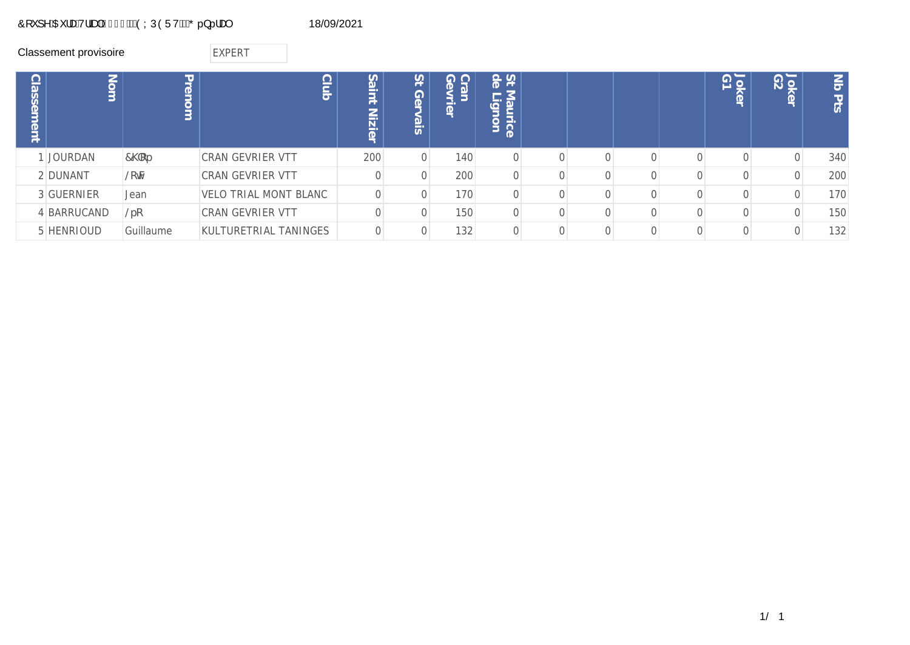# Ô[`]^ÁŒ¦æÁV¦ãæþÁG€GFÁÄÖÝÚÒÜVÁÄŐ..}...!æ¢ 18/09/2021

|              | Classement provisoire |             | <b>EXPERT</b>                |                                      |                         |                          |                                                                |  |  |                                       |                                       |               |
|--------------|-----------------------|-------------|------------------------------|--------------------------------------|-------------------------|--------------------------|----------------------------------------------------------------|--|--|---------------------------------------|---------------------------------------|---------------|
| assem<br>ent | Nom                   | Prenom      | $\subseteq$<br>$rac{C}{C}$   | Sa<br>jur<br>1<br>⇁<br><u>Vizier</u> | 21<br>Ger<br><u>isi</u> | Cran<br>Gevr<br>$\sigma$ | St de<br>Mat<br>--<br>$\mathbb{Q}$<br>气<br>$\overline{5}$<br>Б |  |  | $\overline{\Omega}$<br>DK<br>$\sigma$ | <b>Jok</b><br>$\overline{\mathbb{Q}}$ | $\leq$<br>Pts |
|              | 1 JOURDAN             | $7\,C$ f    | <b>CRAN GEVRIER VTT</b>      | 200                                  | 0                       | 140                      | $\Omega$                                                       |  |  |                                       | ∩                                     | 340           |
|              | 2 DUNANT              | <b>@CŠN</b> | <b>CRAN GEVRIER VTT</b>      |                                      | 0                       | 200                      | $\Omega$                                                       |  |  |                                       |                                       | 200           |
|              | 3 GUERNIER            | Jean        | <b>VELO TRIAL MONT BLANC</b> |                                      | 0                       | 170                      |                                                                |  |  |                                       |                                       | 170           |
|              | 4 BARRUCAND           | @fc         | CRAN GEVRIER VTT             |                                      | 0                       | 150                      | $\Omega$                                                       |  |  |                                       |                                       | 150           |
|              | 5 HENRIOUD            | Guillaume   | KULTURETRIAL TANINGES        |                                      | 0                       | 132                      |                                                                |  |  |                                       |                                       | 132           |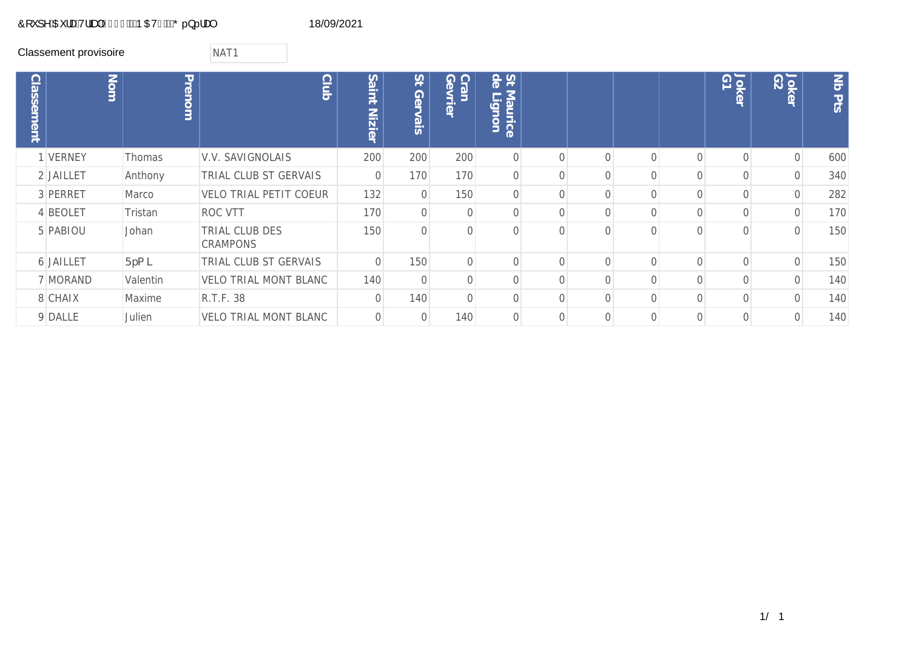## Ô[ ˇ ] ^ÁŒ ¦æÁ√¦ãæþÁG€GFÁÄÞÆVFÁÄŐ..}...!æ¢ 18/09/2021

Classement provisoire<br>
NAT1

| <b>Classement</b> | $\sum_{i=1}^{n}$ | Prenom        | <b>Club</b>                       | Saint<br><b>Nizier</b> | $\overline{S}$<br>Ger<br>vais | <b>G</b><br>$\overline{O}$<br>ran<br><b>Xrier</b> | St de<br>Maurice<br>$\overline{\phantom{a}}$<br><b>Guo</b><br>È |           |          |          |          | Joker<br>G1 | Joker<br>G2 | $\sum_{i=1}^{n}$<br><b>Pts</b> |
|-------------------|------------------|---------------|-----------------------------------|------------------------|-------------------------------|---------------------------------------------------|-----------------------------------------------------------------|-----------|----------|----------|----------|-------------|-------------|--------------------------------|
|                   | 1 VERNEY         | <b>Thomas</b> | V.V. SAVIGNOLAIS                  | 200                    | 200                           | 200                                               | $\overline{0}$                                                  | $\bigcap$ |          | $\Omega$ | $\Omega$ |             | $\Omega$    | 600                            |
|                   | 2 JAILLET        | Anthony       | TRIAL CLUB ST GERVAIS             | $\mathbf 0$            | 170                           | 170                                               | $\overline{0}$                                                  | $\bigcap$ |          |          |          |             |             | 340                            |
|                   | 3 PERRET         | Marco         | <b>VELO TRIAL PETIT COEUR</b>     | 132                    | $\overline{0}$                | 150                                               | $\Omega$                                                        | $\bigcap$ |          | $\Omega$ |          |             |             | 282                            |
|                   | 4 BEOLET         | Tristan       | ROC VTT                           | 170                    | $\overline{0}$                | $\overline{0}$                                    | $\Omega$                                                        | $\bigcap$ |          | 0        |          |             |             | 170                            |
|                   | 5 PABIOU         | Johan         | TRIAL CLUB DES<br><b>CRAMPONS</b> | 150                    | $\overline{0}$                | $\mathbf 0$                                       | $\Omega$                                                        | $\bigcap$ |          | $\Omega$ |          |             |             | 150                            |
|                   | 6 JAILLET        | $Ffa$ ]       | TRIAL CLUB ST GERVAIS             | $\overline{0}$         | 150                           | $\mathbf{O}$                                      | $\overline{0}$                                                  | $\Omega$  | $\Omega$ | $\Omega$ | $\Omega$ |             |             | 150                            |
|                   | 7 MORAND         | Valentin      | <b>VELO TRIAL MONT BLANC</b>      | 140                    | $\overline{0}$                | $\mathbf 0$                                       | 0                                                               | $\bigcap$ |          | $\Omega$ |          |             |             | 140                            |
|                   | 8 CHAIX          | Maxime        | R.T.F. 38                         | $\overline{0}$         | 140                           | $\mathbf 0$                                       | $\Omega$                                                        | $\bigcap$ |          | Λ        |          |             |             | 140                            |
|                   | 9 DALLE          | Julien        | <b>VELO TRIAL MONT BLANC</b>      | $\Omega$               | $\Omega$                      | 140                                               | $\Omega$                                                        | $\bigcap$ |          | $\Omega$ |          |             |             | 140                            |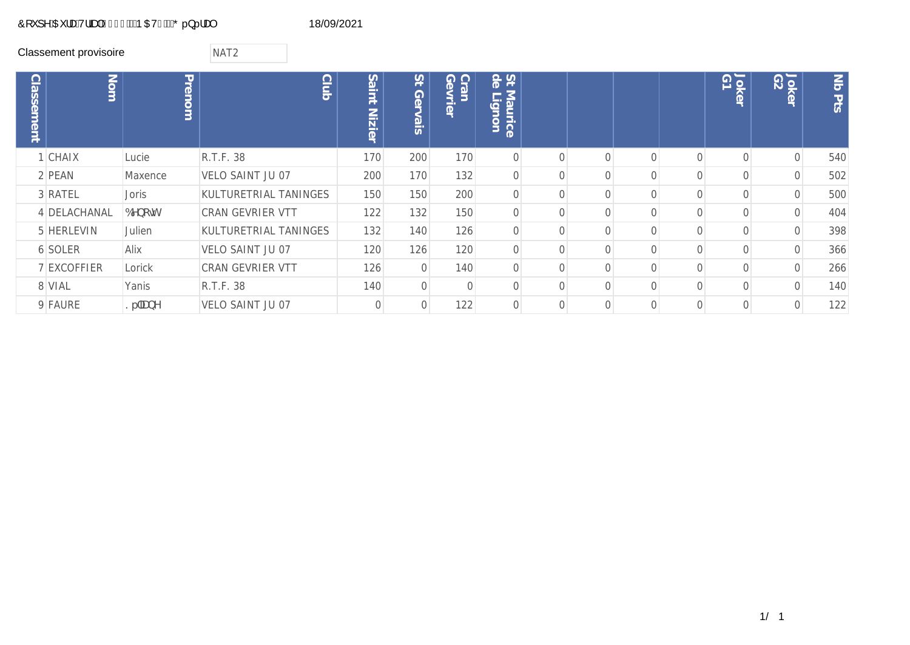## Ô[ ˇ ] ^ÁŒ ¦æÁ√¦ãæþÁG€GFÁÄÞ OEVGÁÄŐ..}...!æ¢ 18/09/2021

### Classement provisoire **NAT2**

| <b>Classement</b> | Nom          | Prenom    | <b>Club</b>             | Saint<br>Nizier | $\overline{5}$<br>Ger<br>Vais | Cran<br>Gevrier<br>tran | St de<br>Maurice<br>$\overline{\phantom{a}}$<br><b>Qronn</b> |  |  | Joker<br>G1 | Joker<br>G2 | $ \vec{S} $<br><b>Pts</b> |
|-------------------|--------------|-----------|-------------------------|-----------------|-------------------------------|-------------------------|--------------------------------------------------------------|--|--|-------------|-------------|---------------------------|
|                   | 1 CHAIX      | Lucie     | R.T.F. 38               | 170             | 200                           | 170                     | $\overline{0}$                                               |  |  |             | $\Omega$    | 540                       |
|                   | 2 PEAN       | Maxence   | VELO SAINT JU 07        | 200             | 170                           | 132                     | $\mathbf 0$                                                  |  |  |             | $\Omega$    | 502                       |
|                   | 3 RATEL      | Joris     | KULTURETRIAL TANINGES   | 150             | 150                           | 200                     | $\Omega$                                                     |  |  |             |             | 500                       |
|                   | 4 DELACHANAL | 6Ybc%     | <b>CRAN GEVRIER VTT</b> | 122             | 132                           | 150                     | $\mathbf 0$                                                  |  |  |             |             | 404                       |
|                   | 5 HERLEVIN   | Julien    | KULTURETRIAL TANINGES   | 132             | 140                           | 126                     | $\overline{0}$                                               |  |  |             |             | 398                       |
|                   | 6 SOLER      | Alix      | VELO SAINT JU 07        | 120             | 126                           | 120                     | $\mathbf 0$                                                  |  |  |             |             | 366                       |
|                   | 7 EXCOFFIER  | Lorick    | <b>CRAN GEVRIER VTT</b> | 126             | $\overline{0}$                | 140                     | $\Omega$                                                     |  |  |             |             | 266                       |
|                   | 8 VIAL       | Yanis     | R.T.F. 38               | 140             | $\overline{0}$                | $\overline{0}$          | $\bigcap$                                                    |  |  |             |             | 140                       |
|                   | 9 FAURE      | $?f$ ]UbY | VELO SAINT JU 07        | $\Omega$        | $\Omega$                      | 122                     | $\Omega$                                                     |  |  |             |             | 122                       |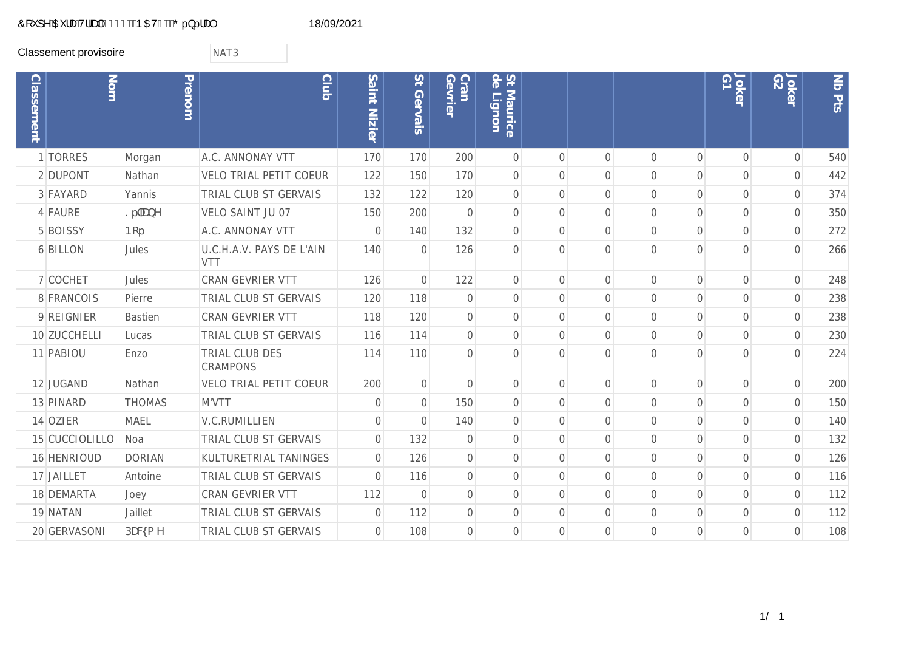## Ô[ ˇ ] ^ÁŒ ¦æÁ√¦ãæþÁG€GFÁÄÞ OEVHÁÄŐ..}...!æ¢ 18/09/2021

Classement provisoire **NAT3** 

| <b>Classement</b> | Nom            | Prenom         | <b>Club</b>                       | Saint Nizier   | St Gervais     | Cran<br>Gevrier | St de<br>Maurice<br>Н<br>ignon |                |                |                |                | GT<br>Joker    | Joker<br>G2    | Nb Pts |
|-------------------|----------------|----------------|-----------------------------------|----------------|----------------|-----------------|--------------------------------|----------------|----------------|----------------|----------------|----------------|----------------|--------|
|                   | 1 TORRES       | Morgan         | A.C. ANNONAY VTT                  | 170            | 170            | 200             | $\mathbf{O}$                   | $\bigcap$      | $\Omega$       | $\overline{0}$ | $\overline{0}$ | $\overline{O}$ | $\mathbf 0$    | 540    |
|                   | 2 DUPONT       | Nathan         | <b>VELO TRIAL PETIT COEUR</b>     | 122            | 150            | 170             | $\sqrt{a}$                     | $\bigcap$      | $\Omega$       | $\Omega$       | $\Omega$       | $\overline{0}$ | 0              | 442    |
|                   | 3 FAYARD       | Yannis         | TRIAL CLUB ST GERVAIS             | 132            | 122            | 120             | $\mathbf 0$                    | $\Omega$       | $\overline{0}$ | $\overline{0}$ | $\mathbf 0$    | $\overline{0}$ | $\overline{0}$ | 374    |
|                   | 4 FAURE        | $?fJ$ UbY      | VELO SAINT JU 07                  | 150            | 200            | $\mathbf 0$     | $\mathbf 0$                    | $\overline{0}$ | $\overline{0}$ | $\overline{0}$ | $\overline{0}$ | $\overline{0}$ | $\overline{0}$ | 350    |
|                   | 5 BOISSY       | <b>Bcf</b>     | A.C. ANNONAY VTT                  | $\sqrt{a}$     | 140            | 132             | $\mathbf 0$                    | $\overline{0}$ | $\overline{0}$ | $\overline{0}$ | $\overline{0}$ | $\overline{0}$ | $\overline{0}$ | 272    |
|                   | 6 BILLON       | Jules          | U.C.H.A.V. PAYS DE L'AIN<br>VTT   | 140            | $\overline{0}$ | 126             | $\overline{0}$                 | $\bigcap$      | $\bigcap$      | $\Omega$       | $\bigcap$      | $\Omega$       | $\overline{0}$ | 266    |
|                   | 7 COCHET       | Jules          | CRAN GEVRIER VTT                  | 126            | $\overline{0}$ | 122             | $\mathbf 0$                    | $\Omega$       | $\overline{0}$ | $\overline{0}$ | $\overline{0}$ | $\overline{0}$ | $\overline{0}$ | 248    |
|                   | 8 FRANCOIS     | Pierre         | TRIAL CLUB ST GERVAIS             | 120            | 118            | $\mathbf 0$     | $\mathbf 0$                    | $\overline{0}$ | $\overline{0}$ | $\overline{0}$ | $\overline{0}$ | $\overline{0}$ | $\overline{0}$ | 238    |
|                   | 9 REIGNIER     | <b>Bastien</b> | <b>CRAN GEVRIER VTT</b>           | 118            | 120            | $\mathbf 0$     | $\mathbf 0$                    | $\overline{0}$ | $\overline{0}$ | $\overline{0}$ | $\overline{0}$ | $\mathbf 0$    | $\overline{0}$ | 238    |
|                   | 10 ZUCCHELLI   | Lucas          | TRIAL CLUB ST GERVAIS             | 116            | 114            | $\mathbf 0$     | $\mathbf 0$                    | $\bigcap$      | $\Omega$       | $\overline{0}$ | $\overline{0}$ | $\overline{0}$ | $\mathbf 0$    | 230    |
|                   | 11 PABIOU      | Enzo           | TRIAL CLUB DES<br><b>CRAMPONS</b> | 114            | 110            | $\Omega$        | $\Omega$                       | $\bigcap$      | $\bigcap$      | $\Omega$       | $\bigcap$      | $\cap$         | $\Omega$       | 224    |
|                   | 12 JUGAND      | Nathan         | <b>VELO TRIAL PETIT COEUR</b>     | 200            | $\mathbf 0$    | $\overline{0}$  | $\mathbf 0$                    | $\overline{0}$ | $\overline{0}$ | $\overline{0}$ | $\mathbf 0$    | $\overline{0}$ | $\mathbf 0$    | 200    |
|                   | 13 PINARD      | <b>THOMAS</b>  | M'VTT                             | $\mathbf 0$    | $\overline{0}$ | 150             | $\overline{0}$                 | $\overline{0}$ | $\overline{0}$ | $\overline{0}$ | $\overline{0}$ | $\overline{0}$ | $\overline{0}$ | 150    |
|                   | 14 OZIER       | <b>MAEL</b>    | <b>V.C.RUMILLIEN</b>              | $\overline{0}$ | $\overline{0}$ | 140             | $\mathbf 0$                    | $\bigcap$      | $\Omega$       | $\overline{0}$ | $\overline{0}$ | $\overline{0}$ | $\overline{0}$ | 140    |
|                   | 15 CUCCIOLILLO | Noa            | TRIAL CLUB ST GERVAIS             | $\sqrt{a}$     | 132            | $\overline{0}$  | $\overline{0}$                 | $\bigcap$      | $\Omega$       | $\Omega$       | $\bigcap$      | $\Omega$       | $\mathbf 0$    | 132    |
|                   | 16 HENRIOUD    | <b>DORIAN</b>  | KULTURETRIAL TANINGES             | $\sqrt{a}$     | 126            | $\overline{0}$  | $\overline{0}$                 | $\bigcap$      | $\Omega$       | $\overline{0}$ | $\overline{0}$ | $\overline{0}$ | $\overline{0}$ | 126    |
|                   | 17 JAILLET     | Antoine        | TRIAL CLUB ST GERVAIS             | $\overline{0}$ | 116            | $\mathbf 0$     | $\sqrt{a}$                     | $\bigcap$      | $\overline{0}$ | $\overline{0}$ | $\overline{0}$ | $\overline{0}$ | $\mathbf 0$    | 116    |
|                   | 18 DEMARTA     | Joey           | <b>CRAN GEVRIER VTT</b>           | 112            | $\overline{0}$ | $\mathbf 0$     | $\overline{0}$                 | $\Omega$       | $\bigcap$      | $\overline{0}$ | $\bigcap$      | $\overline{0}$ | $\overline{0}$ | 112    |
|                   | 19 NATAN       | Jaillet        | TRIAL CLUB ST GERVAIS             | $\sqrt{a}$     | 112            | $\mathbf 0$     | $\sqrt{a}$                     | $\Omega$       | $\overline{0}$ | $\mathbf 0$    | $\overline{0}$ | $\mathbf 0$    | $\mathbf 0$    | 112    |
|                   | 20 GERVASONI   | DUWa Y         | TRIAL CLUB ST GERVAIS             | $\sqrt{a}$     | 108            | $\overline{0}$  | $\overline{0}$                 | $\Omega$       | $\bigcap$      | $\overline{0}$ | $\overline{0}$ | $\Omega$       | $\overline{0}$ | 108    |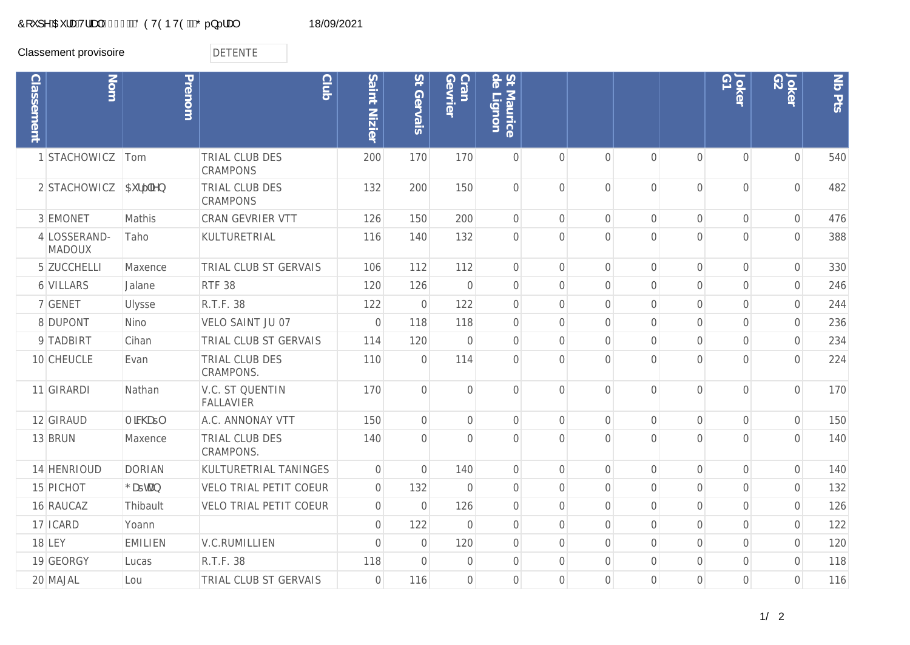## Ô[`]^ÁŒ¦æÁV¦ãæþÁG€GFÁÄÖÖVÒÞVÒÄÄŐ..}..!æ| 18/09/2021

Classement provisoire<br>
DETENTE

| <b>Classement</b> | Nom                           | Prenom         | <b>Club</b>                                | Saint Nizier   | St Gervais     | Cran<br>Gevrier | St Maurice<br>de Lignon<br>Lignon |                |                |                |                | Joker<br>G1    | Joker<br>G2    | Nb Pts |
|-------------------|-------------------------------|----------------|--------------------------------------------|----------------|----------------|-----------------|-----------------------------------|----------------|----------------|----------------|----------------|----------------|----------------|--------|
|                   | STACHOWICZ                    | Tom            | TRIAL CLUB DES<br><b>CRAMPONS</b>          | 200            | 170            | 170             | $\overline{0}$                    | $\bigcap$      | $\Omega$       | $\overline{0}$ | $\overline{0}$ | $\overline{0}$ | $\overline{0}$ | 540    |
|                   | 2 STACHOWICZ                  | 5i ff Yb       | TRIAL CLUB DES<br><b>CRAMPONS</b>          | 132            | 200            | 150             | $\overline{0}$                    | $\bigcap$      | $\Omega$       | $\Omega$       | $\Omega$       | $\overline{0}$ | $\overline{0}$ | 482    |
|                   | 3 EMONET                      | Mathis         | <b>CRAN GEVRIER VTT</b>                    | 126            | 150            | 200             | $\mathbf 0$                       | $\bigcap$      | $\overline{0}$ | $\overline{O}$ | $\overline{0}$ | $\overline{0}$ | $\mathbf 0$    | 476    |
|                   | 4 LOSSERAND-<br><b>MADOUX</b> | Taho           | KULTURETRIAL                               | 116            | 140            | 132             | $\sqrt{a}$                        | $\Omega$       | $\Omega$       | $\overline{0}$ | $\overline{0}$ | $\overline{0}$ | $\overline{0}$ | 388    |
|                   | 5 ZUCCHELLI                   | Maxence        | TRIAL CLUB ST GERVAIS                      | 106            | 112            | 112             | $\mathbf{O}$                      | $\Omega$       | $\Omega$       | $\overline{0}$ | $\overline{0}$ | $\overline{0}$ | $\mathbf 0$    | 330    |
|                   | 6 VILLARS                     | Jalane         | <b>RTF 38</b>                              | 120            | 126            | $\mathbf 0$     | $\overline{0}$                    | $\bigcap$      | $\Omega$       | $\Omega$       | $\overline{0}$ | $\overline{0}$ | $\overline{0}$ | 246    |
|                   | 7 GENET                       | Ulysse         | R.T.F. 38                                  | 122            | $\overline{0}$ | 122             | $\overline{0}$                    | $\Omega$       | $\Omega$       | $\Omega$       | $\overline{0}$ | $\Omega$       | $\overline{0}$ | 244    |
|                   | 8 DUPONT                      | Nino           | VELO SAINT JU 07                           | $\mathbf 0$    | 118            | 118             | $\mathbf 0$                       | $\Omega$       | $\Omega$       | $\overline{0}$ | $\overline{0}$ | $\overline{0}$ | $\mathbf 0$    | 236    |
|                   | 9 TADBIRT                     | Cihan          | TRIAL CLUB ST GERVAIS                      | 114            | 120            | $\mathbf 0$     | $\mathbf 0$                       | $\overline{0}$ | $\overline{0}$ | $\overline{0}$ | $\overline{0}$ | $\overline{0}$ | $\overline{0}$ | 234    |
|                   | 10 CHEUCLE                    | Evan           | TRIAL CLUB DES<br><b>CRAMPONS.</b>         | 110            | $\overline{0}$ | 114             | $\overline{0}$                    | $\Omega$       | $\Omega$       | $\Omega$       | $\overline{0}$ | $\overline{0}$ | $\overline{0}$ | 224    |
|                   | 11 GIRARDI                    | Nathan         | <b>V.C. ST QUENTIN</b><br><b>FALLAVIER</b> | 170            | $\overline{0}$ | $\overline{0}$  | $\overline{0}$                    | $\Omega$       | $\overline{0}$ | $\overline{0}$ | $\overline{0}$ | $\overline{0}$ | $\overline{0}$ | 170    |
|                   | 12 GIRAUD                     | A MW Ut        | A.C. ANNONAY VTT                           | 150            | $\mathbf 0$    | $\overline{0}$  | $\mathbf 0$                       | $\overline{0}$ | $\overline{O}$ | $\overline{0}$ | $\overline{0}$ | $\overline{0}$ | $\mathbf 0$    | 150    |
|                   | 13 BRUN                       | Maxence        | TRIAL CLUB DES<br><b>CRAMPONS.</b>         | 140            | $\overline{0}$ | $\overline{0}$  | $\overline{0}$                    | $\bigcap$      | $\bigcap$      | $\Omega$       | $\Omega$       | $\overline{0}$ | $\overline{0}$ | 140    |
|                   | 14 HENRIOUD                   | <b>DORIAN</b>  | KULTURETRIAL TANINGES                      | $\mathbf{O}$   | $\overline{0}$ | 140             | $\sqrt{a}$                        | $\overline{0}$ | $\overline{0}$ | $\overline{O}$ | $\overline{0}$ | $\overline{0}$ | $\mathbf 0$    | 140    |
|                   | 15 PICHOT                     | $:$ UthUb      | <b>VELO TRIAL PETIT COEUR</b>              | $\mathbf 0$    | 132            | $\mathbf 0$     | $\sqrt{a}$                        | $\overline{0}$ | $\overline{0}$ | $\overline{0}$ | $\overline{0}$ | $\overline{0}$ | $\mathbf 0$    | 132    |
|                   | 16 RAUCAZ                     | Thibault       | <b>VELO TRIAL PETIT COEUR</b>              | $\mathbf 0$    | $\overline{0}$ | 126             | $\mathbf 0$                       | $\Omega$       | $\Omega$       | $\Omega$       | $\overline{0}$ | $\overline{0}$ | $\overline{0}$ | 126    |
|                   | 17 ICARD                      | Yoann          |                                            | $\mathbf 0$    | 122            | $\overline{0}$  | $\mathbf 0$                       | $\overline{0}$ | $\overline{0}$ | $\overline{0}$ | $\overline{0}$ | $\mathbf 0$    | $\mathbf 0$    | 122    |
|                   | <b>18 LEY</b>                 | <b>EMILIEN</b> | <b>V.C.RUMILLIEN</b>                       | $\overline{0}$ | $\overline{0}$ | 120             | $\overline{0}$                    | $\Omega$       | $\overline{0}$ | $\overline{0}$ | $\overline{0}$ | $\overline{0}$ | $\overline{0}$ | 120    |
|                   | 19 GEORGY                     | Lucas          | R.T.F. 38                                  | 118            | $\overline{0}$ | $\overline{0}$  | $\overline{0}$                    | $\Omega$       | $\Omega$       | $\Omega$       | $\Omega$       | $\overline{0}$ | $\overline{0}$ | 118    |
|                   | 20 MAJAL                      | Lou            | TRIAL CLUB ST GERVAIS                      | $\mathbf 0$    | 116            | $\overline{0}$  | $\bigcap$                         | $\bigcap$      | $\Omega$       | $\Omega$       | $\Omega$       | $\overline{0}$ | $\overline{0}$ | 116    |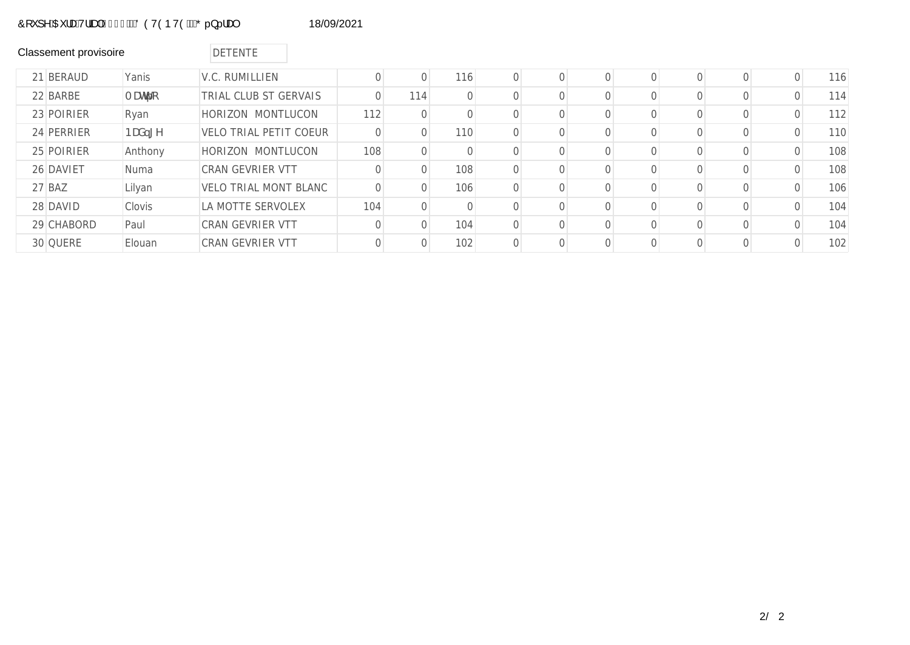# Ô[`]^ÁŒ¦æÁV¦ãæþÁG€GFÆÄÖÖVÒÞVÒÆÄÕ..}..!æ| 18/09/2021

| <b>Classement provisoire</b> |             | <b>DETENTE</b>                |          |          |           |  |  |  |   |     |
|------------------------------|-------------|-------------------------------|----------|----------|-----------|--|--|--|---|-----|
| 21 BERAUD                    | Yanis       | V.C. RUMILLIEN                | 0        | $\Omega$ | 116       |  |  |  | 0 | 116 |
| 22 BARBE                     | A Uhfc      | TRIAL CLUB ST GERVAIS         |          | 114      | $\bigcap$ |  |  |  |   | 114 |
| 23 POIRIER                   | Ryan        | HORIZON MONTLUCON             | 112      | $\Omega$ |           |  |  |  |   | 112 |
| 24 PERRIER                   | BUX, [Y     | <b>VELO TRIAL PETIT COEUR</b> | $\Omega$ | 0        | 110       |  |  |  |   | 110 |
| 25 POIRIER                   | Anthony     | HORIZON MONTLUCON             | 108      | $\Omega$ |           |  |  |  |   | 108 |
| 26 DAVIET                    | <b>Numa</b> | CRAN GEVRIER VTT              |          | $\Omega$ | 108       |  |  |  |   | 108 |
| 27 BAZ                       | Lilyan      | <b>VELO TRIAL MONT BLANC</b>  | 0        | $\Omega$ | 106       |  |  |  |   | 106 |
| 28 DAVID                     | Clovis      | LA MOTTE SERVOLEX             | 104      | $\Omega$ |           |  |  |  |   | 104 |
| 29 CHABORD                   | Paul        | CRAN GEVRIER VTT              |          | $\Omega$ | 104       |  |  |  |   | 104 |
| 30 QUERE                     | Elouan      | CRAN GEVRIER VTT              |          | $\circ$  | 102       |  |  |  |   | 102 |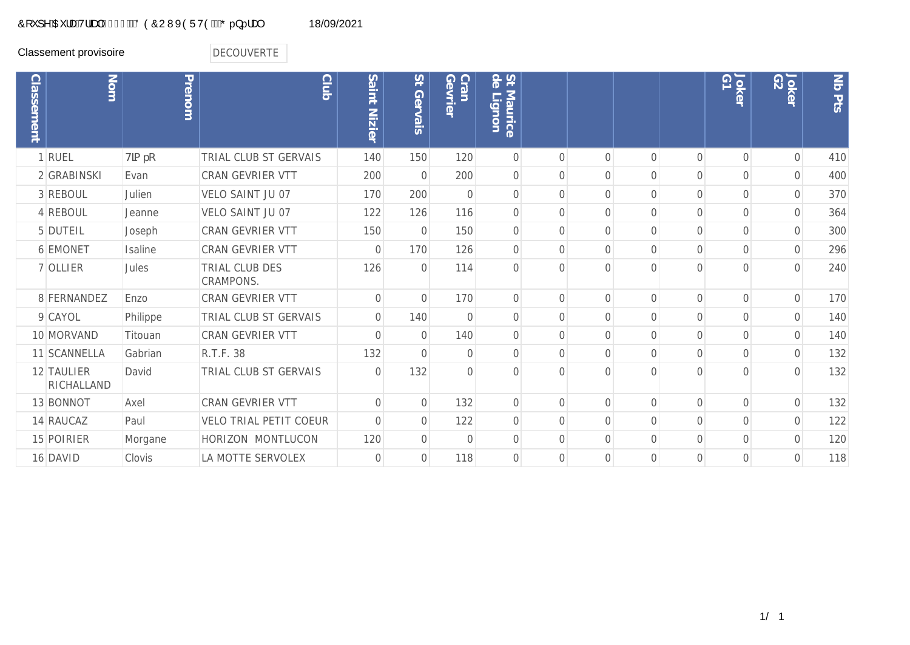## Ô[`]^ÁŒ¦æÁV¦ãæþÁG€GFÆÄÖÒÔUWXÒÜVÒÆÄÕ.}..!æ\$18/09/2021

Classement provisoire<br>
DECOUVERTE

| <b>Classement</b> | Nom                      | Prenom      | <b>Club</b>                        | Saint Nizier   | $\overline{S}$<br>Gervais | Gevrie<br>Cran | 54<br>Maurice<br>GT <sub>I</sub><br>$\overline{5}$<br>D. |                |                |                |                | G1<br>Joker    | Joker<br>G2    | Nb Pts |
|-------------------|--------------------------|-------------|------------------------------------|----------------|---------------------------|----------------|----------------------------------------------------------|----------------|----------------|----------------|----------------|----------------|----------------|--------|
|                   | 1 RUEL                   | $H$ ]a $fc$ | TRIAL CLUB ST GERVAIS              | 140            | 150                       | 120            | $\overline{0}$                                           | $\bigcap$      | $\Omega$       | $\Omega$       | $\Omega$       | $\overline{0}$ | $\mathbf 0$    | 410    |
|                   | 2 GRABINSKI              | Evan        | <b>CRAN GEVRIER VTT</b>            | 200            | $\overline{0}$            | 200            | $\mathbf 0$                                              | $\bigcap$      | $\overline{0}$ | $\overline{O}$ | $\overline{0}$ | $\mathbf 0$    | $\mathbf 0$    | 400    |
|                   | 3 REBOUL                 | Julien      | VELO SAINT JU 07                   | 170            | 200                       | $\Omega$       | $\overline{0}$                                           | $\bigcap$      | $\Omega$       | $\Omega$       | $\Omega$       | $\overline{0}$ | $\overline{0}$ | 370    |
|                   | 4 REBOUL                 | Jeanne      | VELO SAINT JU 07                   | 122            | 126                       | 116            | $\overline{0}$                                           | $\Omega$       | $\overline{0}$ | $\overline{O}$ | $\Omega$       | $\overline{0}$ | $\mathbf 0$    | 364    |
|                   | 5 DUTEIL                 | Joseph      | CRAN GEVRIER VTT                   | 150            | $\overline{0}$            | 150            | $\Omega$                                                 | $\Omega$       | $\Omega$       | $\Omega$       | $\bigcap$      | $\Omega$       | 0              | 300    |
|                   | 6 EMONET                 | Isaline     | CRAN GEVRIER VTT                   | $\Omega$       | 170                       | 126            | $\overline{0}$                                           | $\Omega$       | $\overline{0}$ | $\overline{0}$ | $\overline{0}$ | $\overline{0}$ | $\overline{0}$ | 296    |
|                   | 7 OLLIER                 | Jules       | <b>TRIAL CLUB DES</b><br>CRAMPONS. | 126            | $\Omega$                  | 114            | $\Omega$                                                 | $\cap$         | 0              | $\Omega$       | $\bigcap$      | $\cap$         | $\Omega$       | 240    |
|                   | 8 FERNANDEZ              | Enzo        | <b>CRAN GEVRIER VTT</b>            | $\mathbf 0$    | $\mathbf 0$               | 170            | $\sqrt{a}$                                               | $\Omega$       | $\overline{0}$ | $\overline{O}$ | $\overline{0}$ | $\mathbf 0$    | $\mathbf 0$    | 170    |
|                   | 9 CAYOL                  | Philippe    | TRIAL CLUB ST GERVAIS              | $\overline{0}$ | 140                       | $\bigcap$      | $\Omega$                                                 | $\Omega$       | $\Omega$       | $\Omega$       | $\bigcap$      | $\Omega$       | $\overline{0}$ | 140    |
|                   | 10 MORVAND               | Titouan     | <b>CRAN GEVRIER VTT</b>            | $\mathbf 0$    | $\overline{0}$            | 140            | $\overline{0}$                                           | $\overline{0}$ | $\overline{0}$ | $\overline{0}$ | $\overline{0}$ | $\overline{O}$ | $\overline{0}$ | 140    |
|                   | 11 SCANNELLA             | Gabrian     | R.T.F. 38                          | 132            | $\overline{0}$            | $\Omega$       | $\Omega$                                                 | $\bigcap$      | $\Omega$       | $\Omega$       | $\Omega$       | $\Omega$       | 0              | 132    |
|                   | 12 TAULIER<br>RICHALLAND | David       | TRIAL CLUB ST GERVAIS              | $\overline{0}$ | 132                       | $\overline{0}$ | $\mathcal{O}$                                            | $\cap$         | $\Omega$       | $\Omega$       | $\bigcap$      | $\cap$         | $\overline{0}$ | 132    |
|                   | 13 BONNOT                | Axel        | <b>CRAN GEVRIER VTT</b>            | $\sqrt{a}$     | $\mathbf 0$               | 132            | $\overline{0}$                                           | $\bigcap$      | $\Omega$       | $\Omega$       | $\bigcap$      | $\Omega$       | $\mathbf 0$    | 132    |
|                   | 14 RAUCAZ                | Paul        | <b>VELO TRIAL PETIT COEUR</b>      | $\sqrt{a}$     | $\mathbf 0$               | 122            | $\sqrt{a}$                                               | $\Omega$       | $\overline{0}$ | $\overline{O}$ | $\overline{0}$ | $\mathbf 0$    | $\mathbf 0$    | 122    |
|                   | 15 POIRIER               | Morgane     | HORIZON MONTLUCON                  | 120            | $\Omega$                  | $\Omega$       | $\Omega$                                                 | $\bigcap$      | $\Omega$       | $\Omega$       | $\Omega$       | $\Omega$       | 0              | 120    |
|                   | 16 DAVID                 | Clovis      | LA MOTTE SERVOLEX                  | $\Omega$       | $\overline{0}$            | 118            | $\Omega$                                                 | $\Omega$       | $\Omega$       | $\Omega$       | $\bigcap$      | $\Omega$       | $\mathbf 0$    | 118    |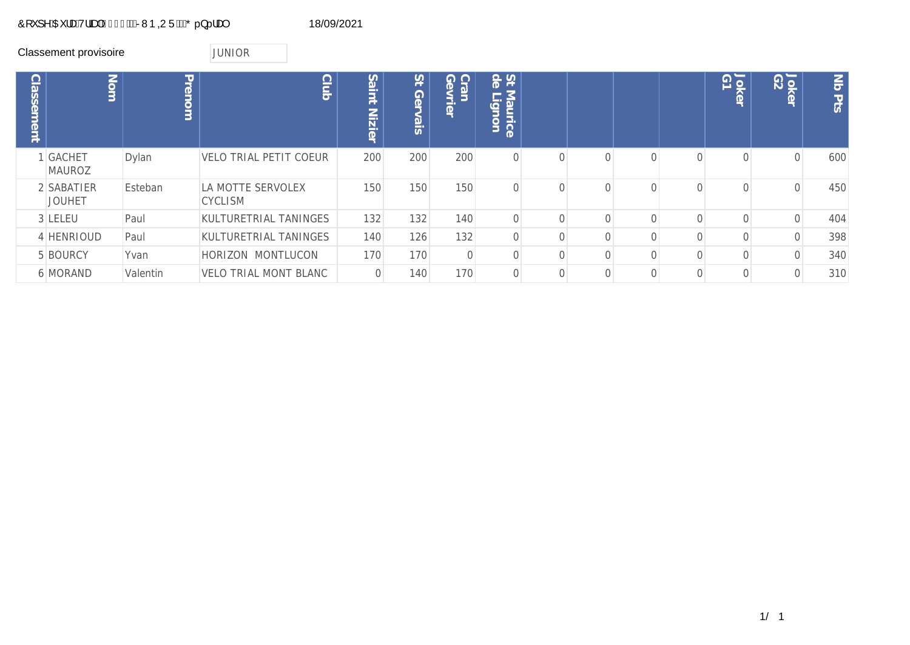# Ô[`]^ÁŒ¦æÁV¦ãæþÁG€GFÁËÁRMÞQUÜÆÄŐ..}..!æ) 18/09/2021

|                   | Classement provisoire       |          | <b>JUNIOR</b>                       |                                |                  |                 |                           |          |              |                |          |             |                |                      |
|-------------------|-----------------------------|----------|-------------------------------------|--------------------------------|------------------|-----------------|---------------------------|----------|--------------|----------------|----------|-------------|----------------|----------------------|
| <b>Classement</b> | Nom                         | Prenom   |                                     | Club<br>Saint<br><b>Nizier</b> | 24<br>Ger<br>ais | Cran<br>Gevrier | St de<br>Maurice<br>ignon |          |              |                |          | Joker<br>G1 | Joker<br>G2    | $\leq$<br><b>PES</b> |
|                   | I GACHET<br><b>MAUROZ</b>   | Dylan    | <b>VELO TRIAL PETIT COEUR</b>       | 200                            | 200              | 200             |                           | $\Omega$ | $\Omega$     | $\Omega$       | $\Omega$ |             | $\overline{0}$ | 600                  |
|                   | 2 SABATIER<br><b>JOUHET</b> | Esteban  | LA MOTTE SERVOLEX<br><b>CYCLISM</b> | 150                            | 150              | 150             |                           | $\Omega$ | $\Omega$     | $\Omega$       |          |             | $\sqrt{a}$     | 450                  |
|                   | 3 LELEU                     | Paul     | KULTURETRIAL TANINGES               | 132                            | 132              | 140             |                           | $\Omega$ |              | $\Omega$       |          |             | $\sqrt{a}$     | 404                  |
|                   | 4 HENRIOUD                  | Paul     | KULTURETRIAL TANINGES               | 140                            | 126              | 132             |                           | 0        |              |                |          |             | $\overline{0}$ | 398                  |
|                   | 5 BOURCY                    | Yvan     | HORIZON MONTLUCON                   | 170                            | 170              |                 |                           | 0        |              |                |          |             | $\overline{0}$ | 340                  |
|                   | <b>6 MORAND</b>             | Valentin | VELO TRIAL MONT BLANC               | 0                              | 140              | 170             |                           | 0        | $\mathbf{0}$ | $\overline{0}$ |          |             | 0              | 310                  |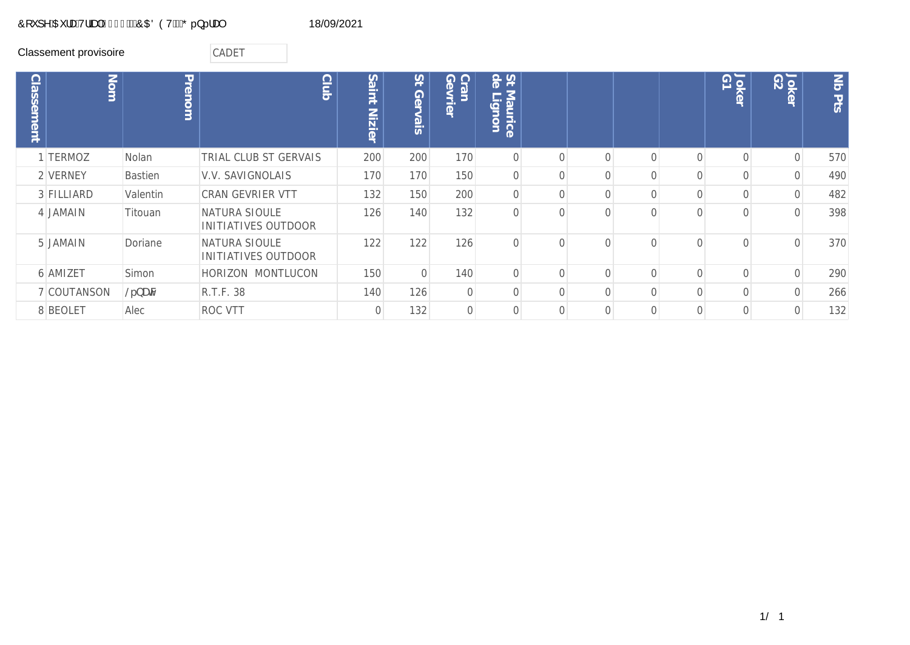## Ô[`]^ÁŒ¦æÁV¦ãæþÁG€GFÁËŐOŒÖÒVÁËŐ.}..!æ) 18/09/2021

Classement provisoire **CADET** 

| <b>Classement</b> | Nom         | Prenom         | <b>Club</b>                                 | Saint<br><b>Nizier</b> | 15<br>Ger<br>$\frac{1}{2}$ | $\overline{O}$<br><b>Gevrier</b><br>ran | St &<br>Maurice<br>$\overline{\phantom{a}}$<br>uou6 |           |  |          | Joker<br>G1 | 10K<br>10K<br>$\sigma$ | $ \vec{S} $<br>Pts |
|-------------------|-------------|----------------|---------------------------------------------|------------------------|----------------------------|-----------------------------------------|-----------------------------------------------------|-----------|--|----------|-------------|------------------------|--------------------|
|                   | 1 TERMOZ    | Nolan          | TRIAL CLUB ST GERVAIS                       | 200                    | 200                        | 170                                     | $\overline{0}$                                      | $\bigcap$ |  | $\Omega$ | $\bigcap$   |                        | 570                |
|                   | 2 VERNEY    | <b>Bastien</b> | V.V. SAVIGNOLAIS                            | 170                    | 170                        | 150                                     | $\overline{O}$                                      | $\Omega$  |  |          |             |                        | 490                |
|                   | 3 FILLIARD  | Valentin       | <b>CRAN GEVRIER VTT</b>                     | 132                    | 150                        | 200                                     | $\overline{0}$                                      | $\Omega$  |  |          |             | $\Omega$               | 482                |
|                   | 4 JAMAIN    | Titouan        | NATURA SIOULE<br><b>INITIATIVES OUTDOOR</b> | 126                    | 140                        | 132                                     | $\Omega$                                            | $\bigcap$ |  |          |             | $\Omega$               | 398                |
|                   | 5 JAMAIN    | Doriane        | NATURA SIOULE<br>INITIATIVES OUTDOOR        | 122                    | 122                        | 126                                     | $\Omega$                                            | $\bigcap$ |  | $\cap$   |             | $\Omega$               | 370                |
|                   | 6 AMIZET    | Simon          | HORIZON MONTLUCON                           | 150                    | $\overline{0}$             | 140                                     | $\mathbf 0$                                         | $\Omega$  |  |          |             |                        | 290                |
|                   | 7 COUTANSON | @fbUŠN         | R.T.F. 38                                   | 140                    | 126                        | $\mathbf 0$                             | $\Omega$                                            | $\bigcap$ |  |          |             |                        | 266                |
|                   | 8 BEOLET    | Alec           | <b>ROC VTT</b>                              |                        | 132                        | $\Omega$                                | $\bigcap$                                           |           |  |          |             |                        | 132                |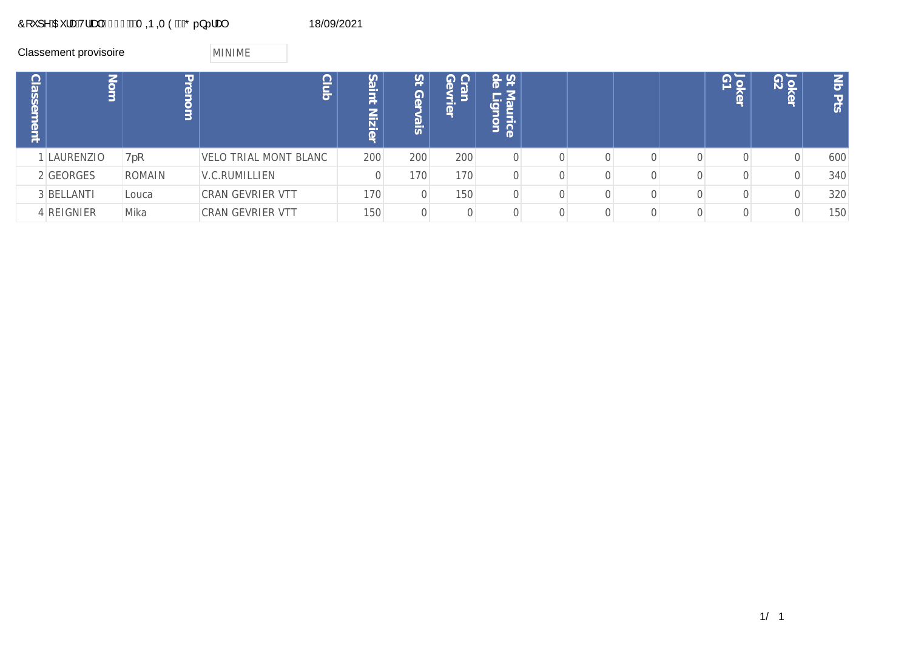# $\hat{O}$ ['] ^ $\hat{A}$ CE | and v| and  $\hat{A}$ CEGF $\hat{A}$ EXT QDQT $\hat{O}$  $\hat{A}$ EX $\hat{O}$ ...}...| and  $\hat{A}$

|                      | Classement provisoire |        | <b>MINIME</b>           |                          |                  |                                               |                                                                           |  |  |                                         |                                |                                      |
|----------------------|-----------------------|--------|-------------------------|--------------------------|------------------|-----------------------------------------------|---------------------------------------------------------------------------|--|--|-----------------------------------------|--------------------------------|--------------------------------------|
| <b>asser</b><br>ment | Nom                   | Prenom | C<br>inj<br>S           | Sa<br>⇁<br><b>Nizier</b> | 21<br>Gel<br>sis | ဂ ဂ<br>ran<br>$\sigma$<br>$\overline{\sigma}$ | St<br>de<br>$\sigma$<br>3<br>$-$<br>$\omega$<br>$\Omega$<br>与<br>ice<br>Þ |  |  | $\overline{\Theta}$<br>ğ<br>$\mathbb O$ | $\frac{5}{10}$<br>$\mathbb{Q}$ | $rac{1}{5}$<br>TJ.<br>$\overline{5}$ |
|                      | LAURENZIO             | Hfc    | VELO TRIAL MONT BLANC   | 200                      | 200              | 200                                           |                                                                           |  |  |                                         | $\Omega$                       | 600                                  |
|                      | 2 GEORGES             | ROMAIN | V.C.RUMILLIEN           |                          | 170              | 170                                           |                                                                           |  |  |                                         |                                | 340                                  |
|                      | 3 BELLANTI            | Louca  | CRAN GEVRIER VTT        | 170                      | 0                | 150                                           |                                                                           |  |  |                                         |                                | 320                                  |
|                      | 4 REIGNIER            | Mika   | <b>CRAN GEVRIER VTT</b> | 150                      | 0                |                                               |                                                                           |  |  |                                         |                                | 150                                  |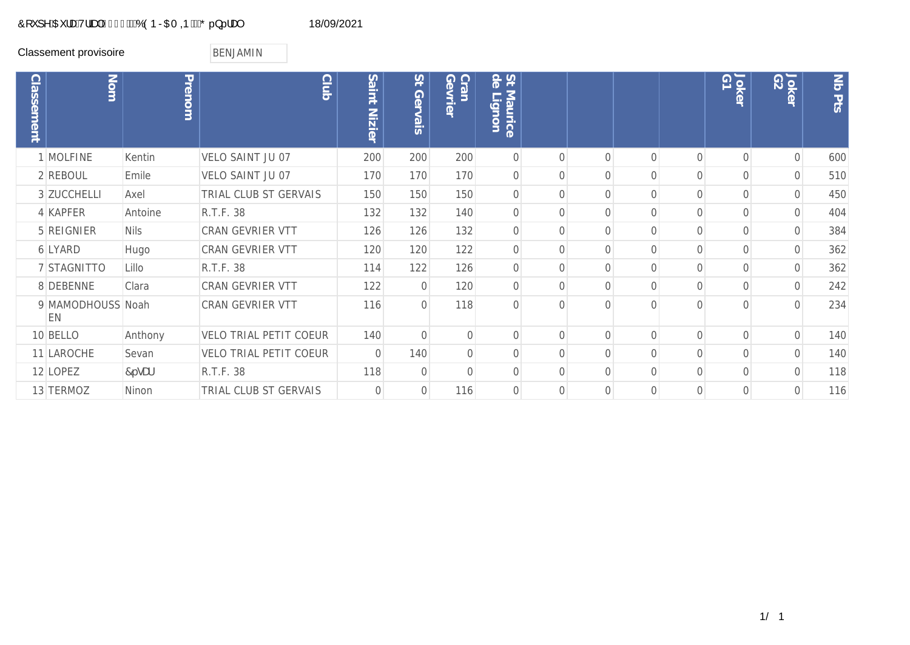## Ô[ ˇ ] ^ÁŒ ¦æÁV¦ãæþÁG€GFÁÄÓÓÞRŒI ФÞÁÄŐ..}... a\$ 18/09/2021

Classement provisoire **BENJAMIN** 

| <b>Classement</b> | Nom                     | Prenom      | <b>Club</b>                   | Saint<br>Nizier | $5+$<br>Gervais | Cran<br>Gevrie | St de<br>Maurice<br>ign<br>$\circ$ |           |          |              | Joker<br>G1 | Joker<br>G2    | Nb Pts |
|-------------------|-------------------------|-------------|-------------------------------|-----------------|-----------------|----------------|------------------------------------|-----------|----------|--------------|-------------|----------------|--------|
|                   | 1 MOLFINE               | Kentin      | VELO SAINT JU 07              | 200             | 200             | 200            | $\overline{0}$                     | $\bigcap$ |          | $\cap$       | $\Omega$    | $\mathbf 0$    | 600    |
|                   | 2 REBOUL                | Emile       | VELO SAINT JU 07              | 170             | 170             | 170            | $\Omega$                           |           |          |              |             | $\Omega$       | 510    |
|                   | 3 ZUCCHELLI             | Axel        | TRIAL CLUB ST GERVAIS         | 150             | 150             | 150            | $\Omega$                           |           |          | 0            | $\Omega$    | $\mathbf{0}$   | 450    |
|                   | 4 KAPFER                | Antoine     | R.T.F. 38                     | 132             | 132             | 140            | $\Omega$                           | $\Omega$  | 0        | 0            | $\Omega$    | $\overline{O}$ | 404    |
|                   | 5 REIGNIER              | <b>Nils</b> | CRAN GEVRIER VTT              | 126             | 126             | 132            | $\mathbf 0$                        | $\Omega$  | 0        | $\Omega$     | $\Omega$    | 0              | 384    |
|                   | 6 LYARD                 | Hugo        | CRAN GEVRIER VTT              | 120             | 120             | 122            | $\overline{0}$                     |           |          |              | Ω           |                | 362    |
|                   | 7 STAGNITTO             | Lillo       | R.T.F. 38                     | 114             | 122             | 126            | $\overline{0}$                     |           |          |              |             |                | 362    |
|                   | 8 DEBENNE               | Clara       | CRAN GEVRIER VTT              | 122             | $\overline{0}$  | 120            | $\Omega$                           |           |          |              |             |                | 242    |
|                   | 9 MAMODHOUSS Noah<br>EN |             | CRAN GEVRIER VTT              | 116             | $\Omega$        | 118            | $\Omega$                           |           |          |              |             |                | 234    |
|                   | 10 BELLO                | Anthony     | <b>VELO TRIAL PETIT COEUR</b> | 140             | $\Omega$        | $\overline{0}$ | $\Omega$                           | $\bigcap$ | 0        | $\cap$       | $\Omega$    | $\overline{0}$ | 140    |
|                   | 11 LAROCHE              | Sevan       | <b>VELO TRIAL PETIT COEUR</b> | $\Omega$        | 140             | $\Omega$       | $\Omega$                           | $\bigcap$ |          | 0            | $\Omega$    | $\Omega$       | 140    |
|                   | 12 LOPEZ                | $7f$ gUf    | R.T.F. 38                     | 118             | $\overline{0}$  | $\Omega$       | $\Omega$                           |           | 0        | <sup>n</sup> | $\Omega$    | $\Omega$       | 118    |
|                   | 13 TERMOZ               | Ninon       | TRIAL CLUB ST GERVAIS         | $\Omega$        | $\overline{0}$  | 116            | $\Omega$                           | $\Omega$  | $\Omega$ | $\Omega$     | $\Omega$    | $\overline{0}$ | 116    |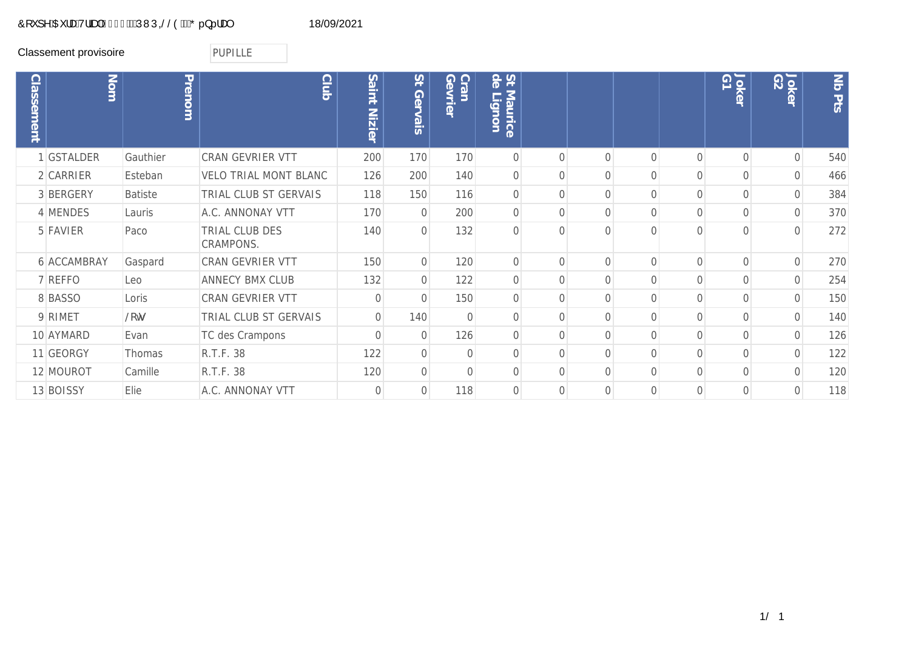## Ô[`]^ÁŒ¦æÁV¦ãæþÁG€GFÁÄÚVNÚGŠŠÒÁÄŐ..}..!æ¢<br>0[`]^ÁŒ¦æÁV¦ãæþÁG€GFÁÄÚVNÚGŠŠÒÁÄŐ..}..!æ¢

Classement provisoire **PUPILLE** 

| <b>Classement</b> | Nom         | Prenom         | <b>Club</b>                  | Saint<br>Nizier | $\overline{S}$<br>Gervais | Cran<br>Gevrie | St &<br><b>Maurice</b><br>$\Box$ |                |          |          | Jokel<br>G1 | Jokel<br>G2    | No Pts |
|-------------------|-------------|----------------|------------------------------|-----------------|---------------------------|----------------|----------------------------------|----------------|----------|----------|-------------|----------------|--------|
|                   | 1 GSTALDER  | Gauthier       | CRAN GEVRIER VTT             | 200             | 170                       | 170            | $\overline{0}$                   | $\bigcap$      | O        | $\Omega$ | $\Omega$    | $\sqrt{a}$     | 540    |
|                   | 2 CARRIER   | Esteban        | <b>VELO TRIAL MONT BLANC</b> | 126             | 200                       | 140            | $\overline{O}$                   | $\Omega$       | 0        | $\Omega$ | $\Omega$    | $\overline{O}$ | 466    |
|                   | 3 BERGERY   | <b>Batiste</b> | TRIAL CLUB ST GERVAIS        | 118             | 150                       | 116            | $\overline{O}$                   | $\overline{0}$ | 0        | $\Omega$ | $\Omega$    | $\overline{0}$ | 384    |
|                   | 4 MENDES    | Lauris         | A.C. ANNONAY VTT             | 170             | $\overline{O}$            | 200            | $\overline{0}$                   | $\bigcap$      | 0        | $\Omega$ | $\Omega$    | $\overline{0}$ | 370    |
|                   | 5 FAVIER    | Paco           | TRIAL CLUB DES<br>CRAMPONS.  | 140             | $\overline{0}$            | 132            | $\Omega$                         | $\bigcap$      |          |          | $\cap$      | $\Omega$       | 272    |
|                   | 6 ACCAMBRAY | Gaspard        | CRAN GEVRIER VTT             | 150             | $\overline{O}$            | 120            | $\overline{O}$                   | $\Omega$       | $\Omega$ | $\Omega$ | $\Omega$    | $\overline{0}$ | 270    |
|                   | 7 REFFO     | Leo            | ANNECY BMX CLUB              | 132             | $\overline{O}$            | 122            | $\overline{O}$                   | $\bigcap$      |          |          | $\Omega$    | $\Omega$       | 254    |
|                   | 8 BASSO     | Loris          | CRAN GEVRIER VTT             | $\mathbf{0}$    | $\overline{O}$            | 150            | $\overline{O}$                   | $\bigcap$      |          |          | $\Omega$    | $\overline{0}$ | 150    |
|                   | 9 RIMET     | <b>acš</b>     | TRIAL CLUB ST GERVAIS        | $\mathbf{O}$    | 140                       | $\overline{0}$ | $\overline{O}$                   | $\bigcap$      |          |          | $\Omega$    | $\Omega$       | 140    |
|                   | 10 AYMARD   | Evan           | TC des Crampons              | $\Omega$        | $\overline{O}$            | 126            | $\Omega$                         | $\bigcap$      |          | ∩        | $\Omega$    | $\overline{0}$ | 126    |
|                   | 11 GEORGY   | Thomas         | R.T.F. 38                    | 122             | $\overline{O}$            | $\mathbf 0$    | $\overline{0}$                   | $\bigcap$      | 0        | $\Omega$ | $\Omega$    | $\mathbf 0$    | 122    |
|                   | 12 MOUROT   | Camille        | R.T.F. 38                    | 120             | $\overline{O}$            | $\overline{0}$ | $\Omega$                         | $\bigcap$      | 0        | $\Omega$ | $\Omega$    | $\mathbf 0$    | 120    |
|                   | 13 BOISSY   | Elie           | A.C. ANNONAY VTT             | $\overline{0}$  | $\overline{O}$            | 118            | $\Omega$                         | $\bigcap$      | 0        | $\Omega$ | $\Omega$    | $\overline{0}$ | 118    |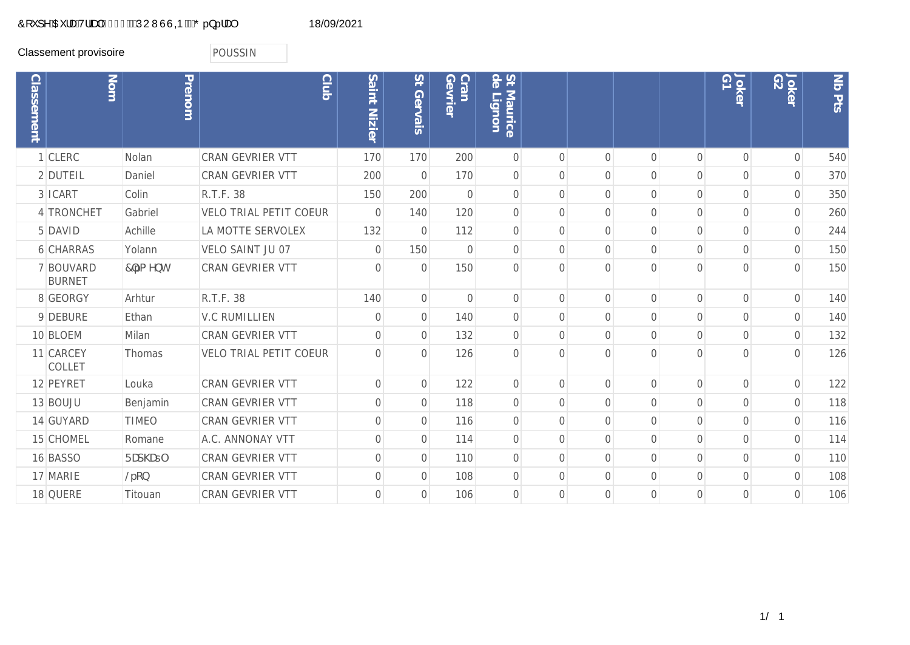## Ô[`]^ÁŒ¦æÁV¦ãna)ÁG€GFÁÄÁÚUWÙÙQÞÁÄŐ..}..!æ) 18/09/2021

Classement provisoire **POUSSIN** 

| <b>Classement</b> | Nom                        | Prenom       | $\frac{C}{100}$               | Saint Nizier   | St Gervais     | Cran<br>Gevrie | St<br>de<br>$\overline{O}$<br>Maurice<br>Lignon |                |                |                |                | $\overline{\Theta}$<br>Joker | G2<br>Joker    | Nb Pts |
|-------------------|----------------------------|--------------|-------------------------------|----------------|----------------|----------------|-------------------------------------------------|----------------|----------------|----------------|----------------|------------------------------|----------------|--------|
|                   | 1 CLERC                    | Nolan        | <b>CRAN GEVRIER VTT</b>       | 170            | 170            | 200            | $\overline{0}$                                  | $\bigcap$      | $\Omega$       | $\Omega$       | $\bigcap$      | $\Omega$                     | $\Omega$       | 540    |
|                   | 2 DUTEIL                   | Daniel       | CRAN GEVRIER VTT              | 200            | $\overline{O}$ | 170            | $\sqrt{a}$                                      | $\Omega$       | $\Omega$       | $\overline{0}$ | $\overline{0}$ | $\Omega$                     | $\overline{0}$ | 370    |
|                   | 3 ICART                    | Colin        | R.T.F. 38                     | 150            | 200            | $\overline{0}$ | $\overline{0}$                                  | $\Omega$       | $\Omega$       | $\overline{0}$ | $\overline{0}$ | $\overline{0}$               | $\overline{0}$ | 350    |
|                   | 4 TRONCHET                 | Gabriel      | <b>VELO TRIAL PETIT COEUR</b> | $\mathbf{0}$   | 140            | 120            | $\mathbf 0$                                     | $\overline{0}$ | $\Omega$       | $\overline{0}$ | $\overline{0}$ | $\overline{0}$               | $\overline{0}$ | 260    |
|                   | 5 DAVID                    | Achille      | LA MOTTE SERVOLEX             | 132            | $\overline{O}$ | 112            | $\mathbf 0$                                     | $\overline{0}$ | $\overline{O}$ | $\overline{0}$ | $\overline{0}$ | $\overline{0}$               | $\overline{0}$ | 244    |
|                   | <b>6 CHARRAS</b>           | Yolann       | VELO SAINT JU 07              | $\sqrt{a}$     | 150            | $\mathbf{0}$   | $\sqrt{a}$                                      | $\Omega$       | $\Omega$       | $\Omega$       | $\Omega$       | $\overline{O}$               | $\overline{0}$ | 150    |
|                   | 7 BOUVARD<br><b>BURNET</b> | 7 fa Ybh     | <b>CRAN GEVRIER VTT</b>       | $\Omega$       | $\overline{0}$ | 150            | $\overline{0}$                                  | $\Omega$       | $\cap$         | $\Omega$       | $\bigcap$      | $\Omega$                     | $\overline{O}$ | 150    |
|                   | 8 GEORGY                   | Arhtur       | R.T.F. 38                     | 140            | $\overline{O}$ | $\overline{0}$ | $\overline{0}$                                  | $\bigcap$      | $\Omega$       | $\Omega$       | $\overline{0}$ | $\Omega$                     | $\overline{0}$ | 140    |
|                   | 9 DEBURE                   | Ethan        | <b>V.C RUMILLIEN</b>          | $\mathbf{O}$   | $\sqrt{0}$     | 140            | $\mathbf 0$                                     | $\Omega$       | $\Omega$       | $\Omega$       | $\overline{0}$ | $\overline{0}$               | $\overline{0}$ | 140    |
|                   | 10 BLOEM                   | Milan        | CRAN GEVRIER VTT              | $\mathbf 0$    | $\sigma$       | 132            | $\mathbf 0$                                     | $\Omega$       | $\Omega$       | $\overline{0}$ | $\overline{0}$ | $\overline{0}$               | $\overline{0}$ | 132    |
|                   | 11 CARCEY<br><b>COLLET</b> | Thomas       | <b>VELO TRIAL PETIT COEUR</b> | $\overline{0}$ | $\overline{0}$ | 126            | $\overline{0}$                                  | $\bigcap$      | $\cap$         | $\Omega$       | $\bigcap$      | $\bigcap$                    | $\overline{O}$ | 126    |
|                   | 12 PEYRET                  | Louka        | <b>CRAN GEVRIER VTT</b>       | $\mathbf{O}$   | $\overline{0}$ | 122            | $\overline{0}$                                  | $\bigcap$      | $\bigcap$      | $\Omega$       | $\overline{0}$ | $\overline{0}$               | $\overline{0}$ | 122    |
|                   | 13 BOUJU                   | Benjamin     | <b>CRAN GEVRIER VTT</b>       | $\mathbf{O}$   | $\overline{O}$ | 118            | $\sqrt{a}$                                      | $\Omega$       | $\Omega$       | $\Omega$       | $\bigcap$      | $\overline{O}$               | $\overline{0}$ | 118    |
|                   | 14 GUYARD                  | <b>TIMEO</b> | <b>CRAN GEVRIER VTT</b>       | $\mathbf 0$    | $\overline{0}$ | 116            | $\mathbf 0$                                     | $\Omega$       | $\Omega$       | $\overline{0}$ | $\overline{0}$ | $\Omega$                     | $\overline{0}$ | 116    |
|                   | 15 CHOMEL                  | Romane       | A.C. ANNONAY VTT              | $\mathbf 0$    | $\overline{0}$ | 114            | $\mathbf 0$                                     | $\Omega$       | $\Omega$       | $\overline{0}$ | $\overline{0}$ | $\overline{0}$               | $\overline{0}$ | 114    |
|                   | 16 BASSO                   | FUd\Ut       | <b>CRAN GEVRIER VTT</b>       | $\mathbf 0$    | $\overline{O}$ | 110            | $\overline{0}$                                  | $\Omega$       | $\Omega$       | $\overline{0}$ | $\overline{0}$ | $\overline{O}$               | $\overline{0}$ | 110    |
|                   | 17 MARIE                   | @fcb         | CRAN GEVRIER VTT              | $\mathbf 0$    | $\overline{0}$ | 108            | $\overline{0}$                                  | $\Omega$       | $\Omega$       | $\overline{O}$ | $\overline{0}$ | $\overline{0}$               | $\overline{0}$ | 108    |
|                   | 18 QUERE                   | Titouan      | CRAN GEVRIER VTT              | $\overline{0}$ | $\overline{0}$ | 106            | $\Omega$                                        | $\Omega$       | $\Omega$       | $\Omega$       | $\bigcap$      | $\Omega$                     | $\overline{O}$ | 106    |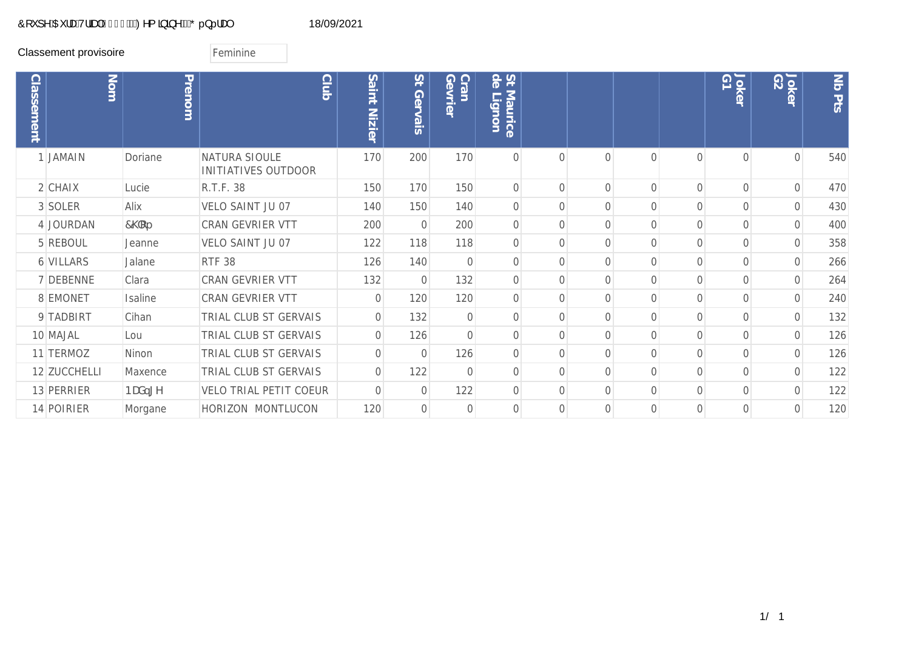## O[`]^ÁOE¦adóv¦ãna)ÁO€OFÁÖZO^{ ã} ã^ÁÖZO..}..!aq}<br>DO 18/09/2021

Classement provisoire **Feminine** 

| <b>Classement</b> | Nom          | Prenom        | <b>Club</b>                                 | Saint<br><b>Nizier</b> | 21<br>Gervais  | <b>Q</b><br><b>Cran</b><br><b>Nrie</b> | St &<br>Maurice<br>igno |           |          |                |                | Joker<br>G1    | Joker<br>G2    | <b>No Pts</b> |
|-------------------|--------------|---------------|---------------------------------------------|------------------------|----------------|----------------------------------------|-------------------------|-----------|----------|----------------|----------------|----------------|----------------|---------------|
|                   | 1 JAMAIN     | Doriane       | NATURA SIOULE<br><b>INITIATIVES OUTDOOR</b> | 170                    | 200            | 170                                    | $\Omega$                | $\bigcap$ |          | $\cap$         | $\cap$         | $\cap$         | $\cap$         | 540           |
|                   | $2$ CHAIX    | Lucie         | R.T.F. 38                                   | 150                    | 170            | 150                                    | $\overline{O}$          | $\Omega$  | $\Omega$ | $\overline{0}$ | $\overline{0}$ | $\overline{0}$ | $\overline{0}$ | 470           |
|                   | 3 SOLER      | Alix          | VELO SAINT JU 07                            | 140                    | 150            | 140                                    | $\sqrt{a}$              | $\Omega$  |          | $\Omega$       | $\Omega$       | $\overline{0}$ | 0              | 430           |
|                   | 4 JOURDAN    | $7\degree$ Cf | <b>CRAN GEVRIER VTT</b>                     | 200                    | $\overline{0}$ | 200                                    | $\overline{0}$          | $\bigcap$ |          | $\Omega$       | $\Omega$       | $\Omega$       | $\Omega$       | 400           |
|                   | 5 REBOUL     | Jeanne        | VELO SAINT JU 07                            | 122                    | 118            | 118                                    | $\mathbf 0$             | $\bigcap$ |          | $\Omega$       | $\Omega$       | $\Omega$       | $\Omega$       | 358           |
|                   | 6 VILLARS    | Jalane        | <b>RTF 38</b>                               | 126                    | 140            | $\Omega$                               | $\Omega$                | $\bigcap$ |          | 0              | $\Omega$       | Ω              |                | 266           |
|                   | 7 DEBENNE    | Clara         | <b>CRAN GEVRIER VTT</b>                     | 132                    | $\overline{0}$ | 132                                    | $\Omega$                | $\bigcap$ |          | U              | <sup>n</sup>   |                |                | 264           |
|                   | 8 EMONET     | Isaline       | <b>CRAN GEVRIER VTT</b>                     | $\Omega$               | 120            | 120                                    | $\Omega$                | $\bigcap$ |          | U              | $\cap$         |                | Ω              | 240           |
|                   | 9 TADBIRT    | Cihan         | TRIAL CLUB ST GERVAIS                       | $\Omega$               | 132            | $\overline{0}$                         | $\Omega$                | $\bigcap$ |          | U              | $\cap$         |                |                | 132           |
|                   | 10 MAJAL     | Lou           | TRIAL CLUB ST GERVAIS                       | $\overline{0}$         | 126            | $\overline{0}$                         | $\overline{0}$          | $\bigcap$ |          |                |                |                |                | 126           |
|                   | 11 TERMOZ    | Ninon         | TRIAL CLUB ST GERVAIS                       | $\overline{0}$         | $\overline{0}$ | 126                                    | $\overline{0}$          | $\bigcap$ |          | $\cap$         | $\cap$         |                |                | 126           |
|                   | 12 ZUCCHELLI | Maxence       | TRIAL CLUB ST GERVAIS                       | $\overline{0}$         | 122            | $\overline{0}$                         | $\overline{0}$          | $\bigcap$ |          | 0              | $\bigcap$      | $\bigcap$      |                | 122           |
|                   | 13 PERRIER   | BUX, [Y       | <b>VELO TRIAL PETIT COEUR</b>               | $\bigcap$              | $\sqrt{0}$     | 122                                    | $\overline{0}$          | $\bigcap$ |          | $\Omega$       | $\bigcap$      | $\Omega$       | $\bigcap$      | 122           |
|                   | 14 POIRIER   | Morgane       | HORIZON MONTLUCON                           | 120                    | $\overline{0}$ | $\overline{0}$                         | $\Omega$                | $\bigcap$ |          | $\Omega$       | $\Omega$       | $\Omega$       | $\Omega$       | 120           |